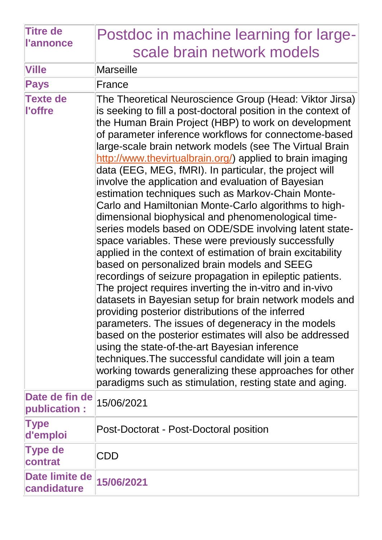| <b>Titre de</b><br><b>l'annonce</b> | Postdoc in machine learning for large-                                                                                                                                                                                                                                                                                                                                                                                                                                                                                                                                                                                                                                                                                                                                                                                                                                                                                                                                                                                                                                                                                                                                                                                                                                                                                                                                                                                                                                      |
|-------------------------------------|-----------------------------------------------------------------------------------------------------------------------------------------------------------------------------------------------------------------------------------------------------------------------------------------------------------------------------------------------------------------------------------------------------------------------------------------------------------------------------------------------------------------------------------------------------------------------------------------------------------------------------------------------------------------------------------------------------------------------------------------------------------------------------------------------------------------------------------------------------------------------------------------------------------------------------------------------------------------------------------------------------------------------------------------------------------------------------------------------------------------------------------------------------------------------------------------------------------------------------------------------------------------------------------------------------------------------------------------------------------------------------------------------------------------------------------------------------------------------------|
|                                     | scale brain network models                                                                                                                                                                                                                                                                                                                                                                                                                                                                                                                                                                                                                                                                                                                                                                                                                                                                                                                                                                                                                                                                                                                                                                                                                                                                                                                                                                                                                                                  |
| <b>Ville</b>                        | Marseille                                                                                                                                                                                                                                                                                                                                                                                                                                                                                                                                                                                                                                                                                                                                                                                                                                                                                                                                                                                                                                                                                                                                                                                                                                                                                                                                                                                                                                                                   |
| <b>Pays</b>                         | France                                                                                                                                                                                                                                                                                                                                                                                                                                                                                                                                                                                                                                                                                                                                                                                                                                                                                                                                                                                                                                                                                                                                                                                                                                                                                                                                                                                                                                                                      |
| <b>Texte de</b><br>l'offre          | The Theoretical Neuroscience Group (Head: Viktor Jirsa)<br>is seeking to fill a post-doctoral position in the context of<br>the Human Brain Project (HBP) to work on development<br>of parameter inference workflows for connectome-based<br>large-scale brain network models (see The Virtual Brain<br>http://www.thevirtualbrain.org/) applied to brain imaging<br>data (EEG, MEG, fMRI). In particular, the project will<br>involve the application and evaluation of Bayesian<br>estimation techniques such as Markov-Chain Monte-<br>Carlo and Hamiltonian Monte-Carlo algorithms to high-<br>dimensional biophysical and phenomenological time-<br>series models based on ODE/SDE involving latent state-<br>space variables. These were previously successfully<br>applied in the context of estimation of brain excitability<br>based on personalized brain models and SEEG<br>recordings of seizure propagation in epileptic patients.<br>The project requires inverting the in-vitro and in-vivo<br>datasets in Bayesian setup for brain network models and<br>providing posterior distributions of the inferred<br>parameters. The issues of degeneracy in the models<br>based on the posterior estimates will also be addressed<br>using the state-of-the-art Bayesian inference<br>techniques. The successful candidate will join a team<br>working towards generalizing these approaches for other<br>paradigms such as stimulation, resting state and aging. |
| Date de fin de<br>publication:      | 15/06/2021                                                                                                                                                                                                                                                                                                                                                                                                                                                                                                                                                                                                                                                                                                                                                                                                                                                                                                                                                                                                                                                                                                                                                                                                                                                                                                                                                                                                                                                                  |
| <b>Type</b><br>d'emploi             | Post-Doctorat - Post-Doctoral position                                                                                                                                                                                                                                                                                                                                                                                                                                                                                                                                                                                                                                                                                                                                                                                                                                                                                                                                                                                                                                                                                                                                                                                                                                                                                                                                                                                                                                      |
| <b>Type de</b><br>contrat           | CDD                                                                                                                                                                                                                                                                                                                                                                                                                                                                                                                                                                                                                                                                                                                                                                                                                                                                                                                                                                                                                                                                                                                                                                                                                                                                                                                                                                                                                                                                         |
| Date limite de<br>candidature       | 15/06/2021                                                                                                                                                                                                                                                                                                                                                                                                                                                                                                                                                                                                                                                                                                                                                                                                                                                                                                                                                                                                                                                                                                                                                                                                                                                                                                                                                                                                                                                                  |